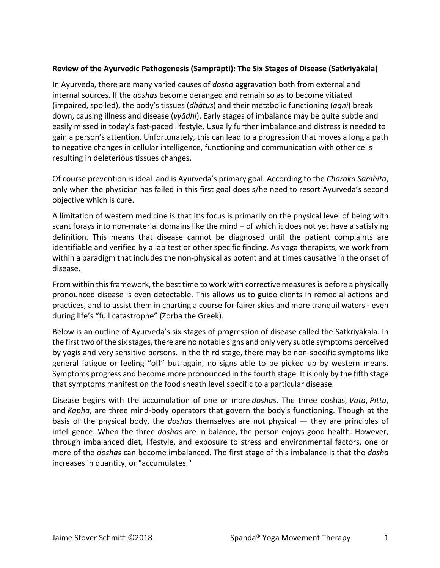#### **Review of the Ayurvedic Pathogenesis (Samprāpti): The Six Stages of Disease (Satkriyākāla)**

In Ayurveda, there are many varied causes of *dosha* aggravation both from external and internal sources. If the *doshas* become deranged and remain so as to become vitiated (impaired, spoiled), the body's tissues (*dhātus*) and their metabolic functioning (*agni*) break down, causing illness and disease (*vyādhi*). Early stages of imbalance may be quite subtle and easily missed in today's fast-paced lifestyle. Usually further imbalance and distress is needed to gain a person's attention. Unfortunately, this can lead to a progression that moves a long a path to negative changes in cellular intelligence, functioning and communication with other cells resulting in deleterious tissues changes.

Of course prevention is ideal and is Ayurveda's primary goal. According to the *Charaka Samhita*, only when the physician has failed in this first goal does s/he need to resort Ayurveda's second objective which is cure.

A limitation of western medicine is that it's focus is primarily on the physical level of being with scant forays into non-material domains like the mind – of which it does not yet have a satisfying definition. This means that disease cannot be diagnosed until the patient complaints are identifiable and verified by a lab test or other specific finding. As yoga therapists, we work from within a paradigm that includes the non-physical as potent and at times causative in the onset of disease.

From within this framework, the best time to work with corrective measures is before a physically pronounced disease is even detectable. This allows us to guide clients in remedial actions and practices, and to assist them in charting a course for fairer skies and more tranquil waters - even during life's "full catastrophe" (Zorba the Greek).

Below is an outline of Ayurveda's six stages of progression of disease called the Satkriyākala. In the first two of the six stages, there are no notable signs and only very subtle symptoms perceived by yogis and very sensitive persons. In the third stage, there may be non-specific symptoms like general fatigue or feeling "off" but again, no signs able to be picked up by western means. Symptoms progress and become more pronounced in the fourth stage. It is only by the fifth stage that symptoms manifest on the food sheath level specific to a particular disease.

Disease begins with the accumulation of one or more *doshas*. The three doshas, *Vata*, *Pitta*, and *Kapha*, are three mind-body operators that govern the body's functioning. Though at the basis of the physical body, the *doshas* themselves are not physical — they are principles of intelligence. When the three *doshas* are in balance, the person enjoys good health. However, through imbalanced diet, lifestyle, and exposure to stress and environmental factors, one or more of the *doshas* can become imbalanced. The first stage of this imbalance is that the *dosha* increases in quantity, or "accumulates."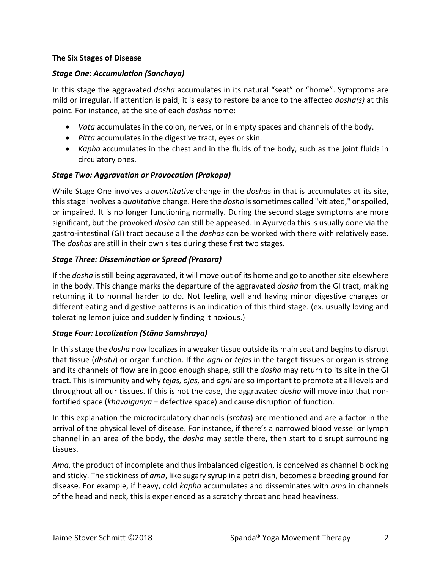#### **The Six Stages of Disease**

### *Stage One: Accumulation (Sanchaya)*

In this stage the aggravated *dosha* accumulates in its natural "seat" or "home". Symptoms are mild or irregular. If attention is paid, it is easy to restore balance to the affected *dosha(s)* at this point. For instance, at the site of each *doshas* home:

- *Vata* accumulates in the colon, nerves, or in empty spaces and channels of the body.
- *Pitta* accumulates in the digestive tract, eyes or skin.
- *Kapha* accumulates in the chest and in the fluids of the body, such as the joint fluids in circulatory ones.

# *Stage Two: Aggravation or Provocation (Prakopa)*

While Stage One involves a *quantitative* change in the *doshas* in that is accumulates at its site, this stage involves a *qualitative* change. Here the *dosha* is sometimes called "vitiated," or spoiled, or impaired. It is no longer functioning normally. During the second stage symptoms are more significant, but the provoked *dosha* can still be appeased. In Ayurveda this is usually done via the gastro-intestinal (GI) tract because all the *doshas* can be worked with there with relatively ease. The *doshas* are still in their own sites during these first two stages.

# *Stage Three: Dissemination or Spread (Prasara)*

If the *dosha* is still being aggravated, it will move out of its home and go to another site elsewhere in the body. This change marks the departure of the aggravated *dosha* from the GI tract, making returning it to normal harder to do. Not feeling well and having minor digestive changes or different eating and digestive patterns is an indication of this third stage. (ex. usually loving and tolerating lemon juice and suddenly finding it noxious.)

# *Stage Four: Localization (Stāna Samshraya)*

In this stage the *dosha* now localizes in a weaker tissue outside its main seat and begins to disrupt that tissue (*dhatu*) or organ function. If the *agni* or *tejas* in the target tissues or organ is strong and its channels of flow are in good enough shape, still the *dosha* may return to its site in the GI tract. This is immunity and why *tejas, ojas,* and *agni* are so important to promote at all levels and throughout all our tissues. If this is not the case, the aggravated *dosha* will move into that nonfortified space (*khāvaigunya* = defective space) and cause disruption of function.

In this explanation the microcirculatory channels (*srotas*) are mentioned and are a factor in the arrival of the physical level of disease. For instance, if there's a narrowed blood vessel or lymph channel in an area of the body, the *dosha* may settle there, then start to disrupt surrounding tissues.

*Ama*, the product of incomplete and thus imbalanced digestion, is conceived as channel blocking and sticky. The stickiness of *ama*, like sugary syrup in a petri dish, becomes a breeding ground for disease. For example, if heavy, cold *kapha* accumulates and disseminates with *ama* in channels of the head and neck, this is experienced as a scratchy throat and head heaviness.